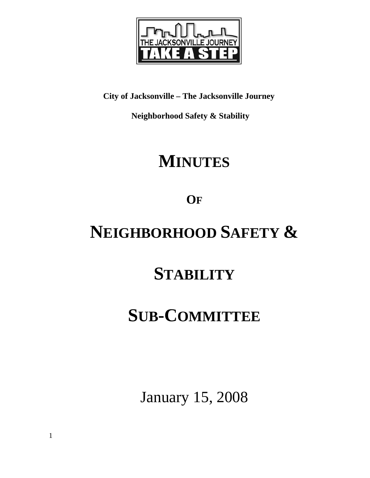

**City of Jacksonville – The Jacksonville Journey** 

 **Neighborhood Safety & Stability** 

# **MINUTES**

**OF**

# **NEIGHBORHOOD SAFETY &**

# **STABILITY**

## **SUB-COMMITTEE**

January 15, 2008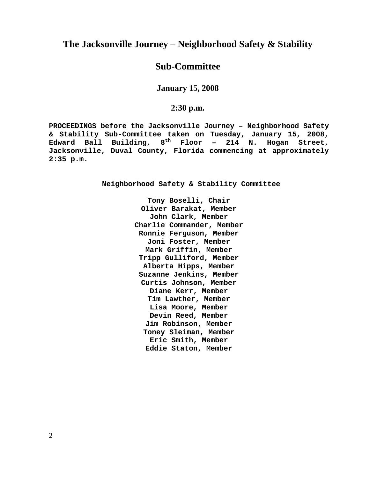### **The Jacksonville Journey – Neighborhood Safety & Stability**

## **Sub-Committee**

**January 15, 2008** 

**2:30 p.m.**

**PROCEEDINGS before the Jacksonville Journey – Neighborhood Safety & Stability Sub-Committee taken on Tuesday, January 15, 2008, Edward Ball Building, 8th Floor – 214 N. Hogan Street, Jacksonville, Duval County, Florida commencing at approximately 2:35 p.m.** 

**Neighborhood Safety & Stability Committee** 

**Tony Boselli, Chair Oliver Barakat, Member John Clark, Member Charlie Commander, Member Ronnie Ferguson, Member Joni Foster, Member Mark Griffin, Member Tripp Gulliford, Member Alberta Hipps, Member Suzanne Jenkins, Member Curtis Johnson, Member Diane Kerr, Member Tim Lawther, Member Lisa Moore, Member Devin Reed, Member Jim Robinson, Member Toney Sleiman, Member Eric Smith, Member Eddie Staton, Member**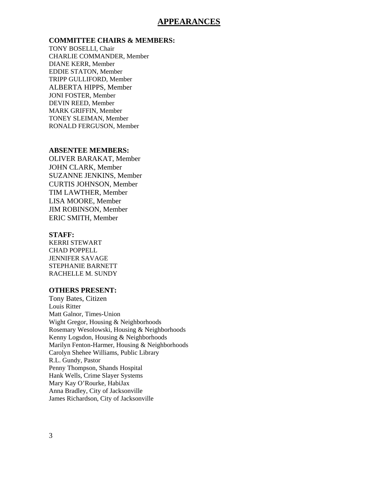### **APPEARANCES**

#### **COMMITTEE CHAIRS & MEMBERS:**

TONY BOSELLI, Chair CHARLIE COMMANDER, Member DIANE KERR, Member EDDIE STATON, Member TRIPP GULLIFORD, Member ALBERTA HIPPS, Member JONI FOSTER, Member DEVIN REED, Member MARK GRIFFIN, Member TONEY SLEIMAN, Member RONALD FERGUSON, Member

#### **ABSENTEE MEMBERS:**

OLIVER BARAKAT, Member JOHN CLARK, Member SUZANNE JENKINS, Member CURTIS JOHNSON, Member TIM LAWTHER, Member LISA MOORE, Member JIM ROBINSON, Member ERIC SMITH, Member

#### **STAFF:**

KERRI STEWART CHAD POPPELL JENNIFER SAVAGE STEPHANIE BARNETT RACHELLE M. SUNDY

#### **OTHERS PRESENT:**

Tony Bates, Citizen Louis Ritter Matt Galnor, Times-Union Wight Gregor, Housing & Neighborhoods Rosemary Wesolowski, Housing & Neighborhoods Kenny Logsdon, Housing & Neighborhoods Marilyn Fenton-Harmer, Housing & Neighborhoods Carolyn Shehee Williams, Public Library R.L. Gundy, Pastor Penny Thompson, Shands Hospital Hank Wells, Crime Slayer Systems Mary Kay O'Rourke, HabiJax Anna Bradley, City of Jacksonville James Richardson, City of Jacksonville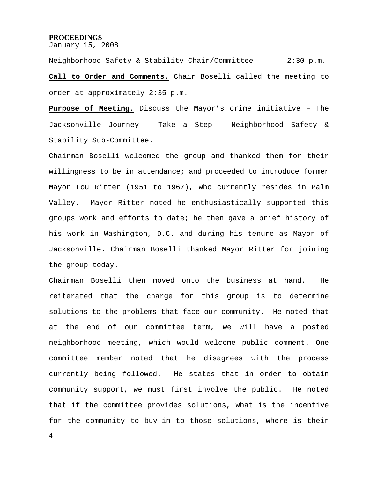#### **PROCEEDINGS**

January 15, 2008

Neighborhood Safety & Stability Chair/Committee 2:30 p.m. **Call to Order and Comments.** Chair Boselli called the meeting to order at approximately 2:35 p.m.

**Purpose of Meeting.** Discuss the Mayor's crime initiative – The Jacksonville Journey – Take a Step – Neighborhood Safety & Stability Sub-Committee.

Chairman Boselli welcomed the group and thanked them for their willingness to be in attendance; and proceeded to introduce former Mayor Lou Ritter (1951 to 1967), who currently resides in Palm Valley. Mayor Ritter noted he enthusiastically supported this groups work and efforts to date; he then gave a brief history of his work in Washington, D.C. and during his tenure as Mayor of Jacksonville. Chairman Boselli thanked Mayor Ritter for joining the group today.

Chairman Boselli then moved onto the business at hand. He reiterated that the charge for this group is to determine solutions to the problems that face our community. He noted that at the end of our committee term, we will have a posted neighborhood meeting, which would welcome public comment. One committee member noted that he disagrees with the process currently being followed. He states that in order to obtain community support, we must first involve the public. He noted that if the committee provides solutions, what is the incentive for the community to buy-in to those solutions, where is their

4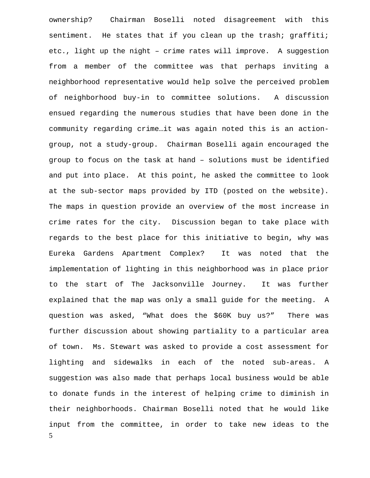5 ownership? Chairman Boselli noted disagreement with this sentiment. He states that if you clean up the trash; graffiti; etc., light up the night – crime rates will improve. A suggestion from a member of the committee was that perhaps inviting a neighborhood representative would help solve the perceived problem of neighborhood buy-in to committee solutions. A discussion ensued regarding the numerous studies that have been done in the community regarding crime…it was again noted this is an actiongroup, not a study-group. Chairman Boselli again encouraged the group to focus on the task at hand – solutions must be identified and put into place. At this point, he asked the committee to look at the sub-sector maps provided by ITD (posted on the website). The maps in question provide an overview of the most increase in crime rates for the city. Discussion began to take place with regards to the best place for this initiative to begin, why was Eureka Gardens Apartment Complex? It was noted that the implementation of lighting in this neighborhood was in place prior to the start of The Jacksonville Journey. It was further explained that the map was only a small guide for the meeting. A question was asked, "What does the \$60K buy us?" There was further discussion about showing partiality to a particular area of town. Ms. Stewart was asked to provide a cost assessment for lighting and sidewalks in each of the noted sub-areas. A suggestion was also made that perhaps local business would be able to donate funds in the interest of helping crime to diminish in their neighborhoods. Chairman Boselli noted that he would like input from the committee, in order to take new ideas to the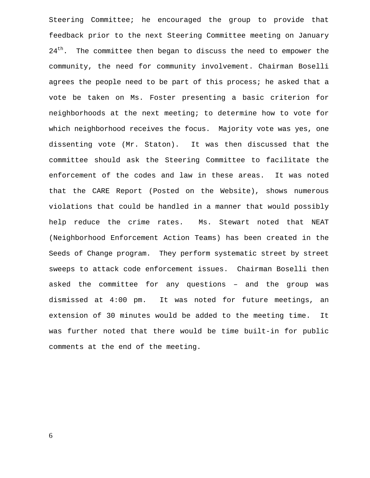Steering Committee; he encouraged the group to provide that feedback prior to the next Steering Committee meeting on January  $24<sup>th</sup>$ . The committee then began to discuss the need to empower the community, the need for community involvement. Chairman Boselli agrees the people need to be part of this process; he asked that a vote be taken on Ms. Foster presenting a basic criterion for neighborhoods at the next meeting; to determine how to vote for which neighborhood receives the focus. Majority vote was yes, one dissenting vote (Mr. Staton). It was then discussed that the committee should ask the Steering Committee to facilitate the enforcement of the codes and law in these areas. It was noted that the CARE Report (Posted on the Website), shows numerous violations that could be handled in a manner that would possibly help reduce the crime rates. Ms. Stewart noted that NEAT (Neighborhood Enforcement Action Teams) has been created in the Seeds of Change program. They perform systematic street by street sweeps to attack code enforcement issues. Chairman Boselli then asked the committee for any questions – and the group was dismissed at 4:00 pm. It was noted for future meetings, an extension of 30 minutes would be added to the meeting time. It was further noted that there would be time built-in for public comments at the end of the meeting.

6